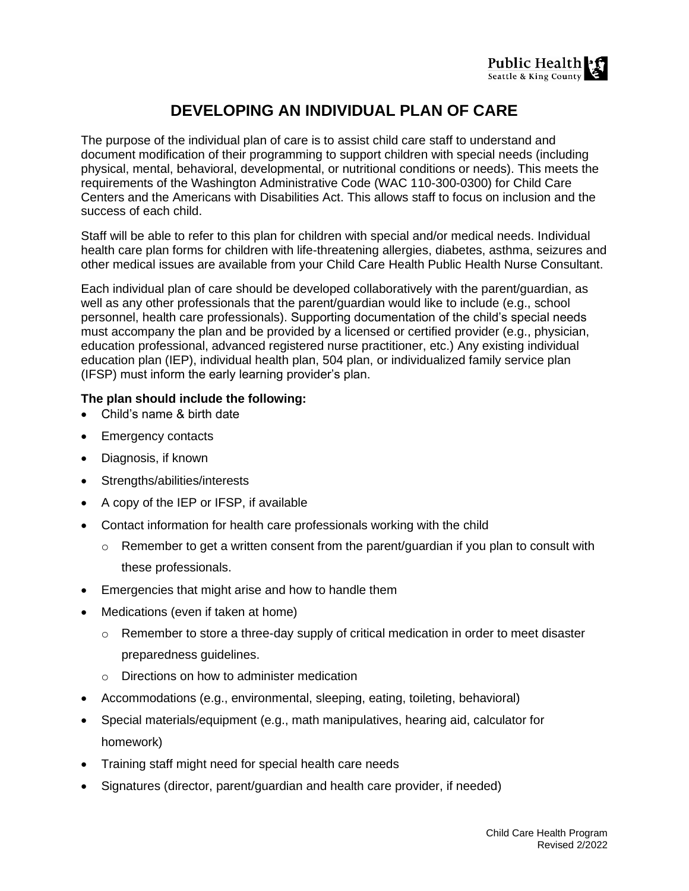## **DEVELOPING AN INDIVIDUAL PLAN OF CARE**

The purpose of the individual plan of care is to assist child care staff to understand and document modification of their programming to support children with special needs (including physical, mental, behavioral, developmental, or nutritional conditions or needs). This meets the requirements of the Washington Administrative Code (WAC 110-300-0300) for Child Care Centers and the Americans with Disabilities Act. This allows staff to focus on inclusion and the success of each child.

Staff will be able to refer to this plan for children with special and/or medical needs. Individual health care plan forms for children with life-threatening allergies, diabetes, asthma, seizures and other medical issues are available from your Child Care Health Public Health Nurse Consultant.

Each individual plan of care should be developed collaboratively with the parent/guardian, as well as any other professionals that the parent/guardian would like to include (e.g., school personnel, health care professionals). Supporting documentation of the child's special needs must accompany the plan and be provided by a licensed or certified provider (e.g., physician, education professional, advanced registered nurse practitioner, etc.) Any existing individual education plan (IEP), individual health plan, 504 plan, or individualized family service plan (IFSP) must inform the early learning provider's plan.

## **The plan should include the following:**

- Child's name & birth date
- Emergency contacts
- Diagnosis, if known
- Strengths/abilities/interests
- A copy of the IEP or IFSP, if available
- Contact information for health care professionals working with the child
	- $\circ$  Remember to get a written consent from the parent/guardian if you plan to consult with these professionals.
- Emergencies that might arise and how to handle them
- Medications (even if taken at home)
	- $\circ$  Remember to store a three-day supply of critical medication in order to meet disaster preparedness guidelines.
	- o Directions on how to administer medication
- Accommodations (e.g., environmental, sleeping, eating, toileting, behavioral)
- Special materials/equipment (e.g., math manipulatives, hearing aid, calculator for homework)
- Training staff might need for special health care needs
- Signatures (director, parent/guardian and health care provider, if needed)